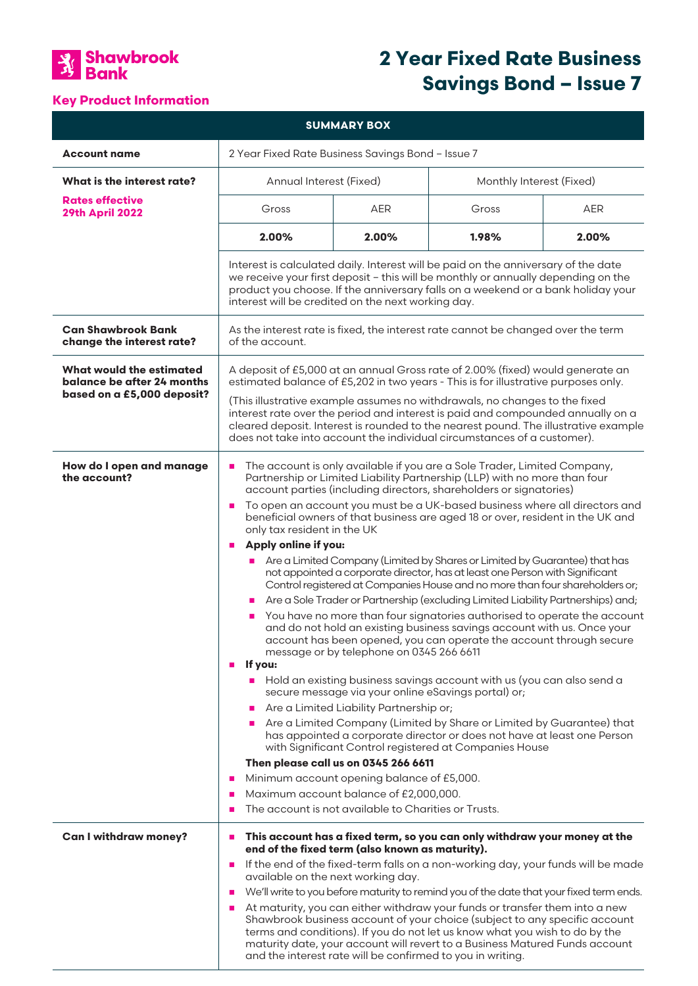

# **2 Year Fixed Rate Business Savings Bond – Issue 7**

## **Key Product Information**

| <b>SUMMARY BOX</b>                                                                   |                                                                                                                                                                                                                                                                                                                                                                                                                                                                                                                                                                                                                                                                                                                                                                                                                                                                                                                                                                                                                                                                                                                                                                                                                                                                                                                                                                                                                                                                                                                                                                                                                                                                                                                       |                                                                                                         |                                                                                                                                                                                                                                                                                                                                                                                                                                                                                                                                                                                                                                                   |            |
|--------------------------------------------------------------------------------------|-----------------------------------------------------------------------------------------------------------------------------------------------------------------------------------------------------------------------------------------------------------------------------------------------------------------------------------------------------------------------------------------------------------------------------------------------------------------------------------------------------------------------------------------------------------------------------------------------------------------------------------------------------------------------------------------------------------------------------------------------------------------------------------------------------------------------------------------------------------------------------------------------------------------------------------------------------------------------------------------------------------------------------------------------------------------------------------------------------------------------------------------------------------------------------------------------------------------------------------------------------------------------------------------------------------------------------------------------------------------------------------------------------------------------------------------------------------------------------------------------------------------------------------------------------------------------------------------------------------------------------------------------------------------------------------------------------------------------|---------------------------------------------------------------------------------------------------------|---------------------------------------------------------------------------------------------------------------------------------------------------------------------------------------------------------------------------------------------------------------------------------------------------------------------------------------------------------------------------------------------------------------------------------------------------------------------------------------------------------------------------------------------------------------------------------------------------------------------------------------------------|------------|
| <b>Account name</b>                                                                  | 2 Year Fixed Rate Business Savings Bond - Issue 7                                                                                                                                                                                                                                                                                                                                                                                                                                                                                                                                                                                                                                                                                                                                                                                                                                                                                                                                                                                                                                                                                                                                                                                                                                                                                                                                                                                                                                                                                                                                                                                                                                                                     |                                                                                                         |                                                                                                                                                                                                                                                                                                                                                                                                                                                                                                                                                                                                                                                   |            |
| What is the interest rate?                                                           | Annual Interest (Fixed)                                                                                                                                                                                                                                                                                                                                                                                                                                                                                                                                                                                                                                                                                                                                                                                                                                                                                                                                                                                                                                                                                                                                                                                                                                                                                                                                                                                                                                                                                                                                                                                                                                                                                               |                                                                                                         | Monthly Interest (Fixed)                                                                                                                                                                                                                                                                                                                                                                                                                                                                                                                                                                                                                          |            |
| <b>Rates effective</b><br><b>29th April 2022</b>                                     | Gross                                                                                                                                                                                                                                                                                                                                                                                                                                                                                                                                                                                                                                                                                                                                                                                                                                                                                                                                                                                                                                                                                                                                                                                                                                                                                                                                                                                                                                                                                                                                                                                                                                                                                                                 | <b>AER</b>                                                                                              | Gross                                                                                                                                                                                                                                                                                                                                                                                                                                                                                                                                                                                                                                             | <b>AER</b> |
|                                                                                      | 2.00%                                                                                                                                                                                                                                                                                                                                                                                                                                                                                                                                                                                                                                                                                                                                                                                                                                                                                                                                                                                                                                                                                                                                                                                                                                                                                                                                                                                                                                                                                                                                                                                                                                                                                                                 | 2.00%                                                                                                   | 1.98%                                                                                                                                                                                                                                                                                                                                                                                                                                                                                                                                                                                                                                             | 2.00%      |
|                                                                                      | Interest is calculated daily. Interest will be paid on the anniversary of the date<br>we receive your first deposit - this will be monthly or annually depending on the<br>product you choose. If the anniversary falls on a weekend or a bank holiday your<br>interest will be credited on the next working day.                                                                                                                                                                                                                                                                                                                                                                                                                                                                                                                                                                                                                                                                                                                                                                                                                                                                                                                                                                                                                                                                                                                                                                                                                                                                                                                                                                                                     |                                                                                                         |                                                                                                                                                                                                                                                                                                                                                                                                                                                                                                                                                                                                                                                   |            |
| <b>Can Shawbrook Bank</b><br>change the interest rate?                               | As the interest rate is fixed, the interest rate cannot be changed over the term<br>of the account.                                                                                                                                                                                                                                                                                                                                                                                                                                                                                                                                                                                                                                                                                                                                                                                                                                                                                                                                                                                                                                                                                                                                                                                                                                                                                                                                                                                                                                                                                                                                                                                                                   |                                                                                                         |                                                                                                                                                                                                                                                                                                                                                                                                                                                                                                                                                                                                                                                   |            |
| What would the estimated<br>balance be after 24 months<br>based on a £5,000 deposit? | A deposit of £5,000 at an annual Gross rate of 2.00% (fixed) would generate an<br>estimated balance of £5,202 in two years - This is for illustrative purposes only.<br>(This illustrative example assumes no withdrawals, no changes to the fixed<br>interest rate over the period and interest is paid and compounded annually on a<br>cleared deposit. Interest is rounded to the nearest pound. The illustrative example<br>does not take into account the individual circumstances of a customer).                                                                                                                                                                                                                                                                                                                                                                                                                                                                                                                                                                                                                                                                                                                                                                                                                                                                                                                                                                                                                                                                                                                                                                                                               |                                                                                                         |                                                                                                                                                                                                                                                                                                                                                                                                                                                                                                                                                                                                                                                   |            |
| How do I open and manage<br>the account?                                             | The account is only available if you are a Sole Trader, Limited Company,<br>п<br>Partnership or Limited Liability Partnership (LLP) with no more than four<br>account parties (including directors, shareholders or signatories)<br>To open an account you must be a UK-based business where all directors and<br>$\mathcal{L}_{\mathcal{A}}$<br>beneficial owners of that business are aged 18 or over, resident in the UK and<br>only tax resident in the UK<br>Apply online if you:<br>$\blacksquare$<br>Are a Limited Company (Limited by Shares or Limited by Guarantee) that has<br>$\blacksquare$<br>not appointed a corporate director, has at least one Person with Significant<br>Control registered at Companies House and no more than four shareholders or;<br>Are a Sole Trader or Partnership (excluding Limited Liability Partnerships) and;<br>You have no more than four signatories authorised to operate the account<br>and do not hold an existing business savings account with us. Once your<br>account has been opened, you can operate the account through secure<br>message or by telephone on 0345 266 6611<br>If you:<br>$\mathbf{r}$<br>Hold an existing business savings account with us (you can also send a<br>$\mathbf{r}$<br>secure message via your online eSavings portal) or;<br>Are a Limited Liability Partnership or;<br>Are a Limited Company (Limited by Share or Limited by Guarantee) that<br>has appointed a corporate director or does not have at least one Person<br>with Significant Control registered at Companies House<br>Then please call us on 0345 266 6611<br>Minimum account opening balance of £5,000.<br>п<br>Maximum account balance of £2,000,000.<br>п |                                                                                                         |                                                                                                                                                                                                                                                                                                                                                                                                                                                                                                                                                                                                                                                   |            |
| <b>Can I withdraw money?</b>                                                         | г<br>ш<br>п<br>available on the next working day.<br>$\mathcal{L}_{\mathcal{A}}$<br>$\mathcal{L}_{\mathcal{A}}$                                                                                                                                                                                                                                                                                                                                                                                                                                                                                                                                                                                                                                                                                                                                                                                                                                                                                                                                                                                                                                                                                                                                                                                                                                                                                                                                                                                                                                                                                                                                                                                                       | The account is not available to Charities or Trusts.<br>end of the fixed term (also known as maturity). | This account has a fixed term, so you can only withdraw your money at the<br>If the end of the fixed-term falls on a non-working day, your funds will be made<br>We'll write to you before maturity to remind you of the date that your fixed term ends.<br>At maturity, you can either withdraw your funds or transfer them into a new<br>Shawbrook business account of your choice (subject to any specific account<br>terms and conditions). If you do not let us know what you wish to do by the<br>maturity date, your account will revert to a Business Matured Funds account<br>and the interest rate will be confirmed to you in writing. |            |